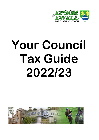

# **Your Council Tax Guide 2022/23**

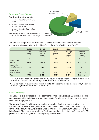### **Where your Council Tax goes**

Your bill is made up of three elements:

- An amount charged by Surrey County **Council**
- An amount charged by Surrey Police & Crime Commissioner
- An amount charged by Epsom & Ewell Borough Council

Each authority will receive a portion of the Council Tax that you pay during 2022/23 as illustrated right:



This year the Borough Council will collect over £67m from Council Tax payers. The following table compares the total amounts to be collected from Council Tax in 2022/23 with those in 2021/22:

|                           | 2021/22 | 2021/22    | 2022/23 | 2022/23       |                    |  |
|---------------------------|---------|------------|---------|---------------|--------------------|--|
|                           | Total   | Amount per | Total   | Amount per    | Increase for       |  |
|                           | precept | Band D     | precept | <b>Band D</b> | Band D             |  |
|                           |         | property   |         | property      | property           |  |
|                           | £'000   | £          | £'000   | £             | $\frac{0}{0}$<br>£ |  |
| <b>Surrey County</b>      |         |            |         |               |                    |  |
| Council                   | 51,305  | 1,549.08   | 54,429  | 1,626.39      | $5.0*$<br>77.31    |  |
| Surrey Police &           |         |            |         |               |                    |  |
| <b>Crime Commissioner</b> | 9,467   | 285.57     | 9,828   | 295.57        | 3.5<br>10.00       |  |
| Epsom & Ewell             |         |            |         |               |                    |  |
| <b>Borough Council</b>    | 6.904   | 208.26     | 7.090   | 213.21        | $2.4**$<br>4.95    |  |
| <b>Total</b>              | 67,722  | 2042.91    | 70,997  | 2,135.17      | 4.5<br>92.26       |  |

\* The annual increase in council tax for the County of 4.99% includes an increase for adult social care as allowed under the Government's provisions and does not trigger the requirements for a local referendum.

\*\*The annual increase in council tax for the Borough Council of 2.4% is below the new capping limit as set by Government and does not trigger the requirement for a local referendum.

### **Council Tax charges**

The Council Tax is calculated according to property bands. Single person discounts (25%) or other discounts and exemptions will be applied to your account if appropriate. The table below indicates the charges where the full amount is payable in 2022/23.

The way your Council Tax bill is calculated is set out in legislation. The total amount to be raised in the Borough is first calculated by adding together the amount Epsom & Ewell Borough Council needs to pay for services, to the amounts that Surrey Police & Crime Commissioner and Surrey County Council need to raise in this Borough. The money to be raised to pay for all services is divided by the tax base for the area (33,251 properties) to give the charge for properties in property valuation Band D.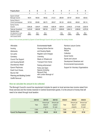| <b>Property Band</b>                                                                                | A                       | B            | C                       | D        | E              | F              | G                         | н                         |
|-----------------------------------------------------------------------------------------------------|-------------------------|--------------|-------------------------|----------|----------------|----------------|---------------------------|---------------------------|
|                                                                                                     | £                       | £            | £                       | £        | £              | £              | £                         | £                         |
| Epsom & Ewell<br>Borough Council                                                                    | 142.14                  | 165.83       | 189.52                  | 213.21   | 260.59         | 307.97         | 355.35                    | 426.42                    |
| Surrey Police &<br>Crime Commissioner                                                               | 197.05                  | 229.89       | 262.73                  | 295.57   | 361.25         | 426.93         | 492.62                    | 591.14                    |
| <b>Surrey County</b><br>Council                                                                     | 1.084.26                | 1.264.97     | 1.445.68                | 1.626.39 | 1.987.81       | 2,349.23       | 2,710.65                  | 3,252.78                  |
| Total per Household                                                                                 | 1,423.45                | 1,660.69     | 1897.93                 | 2,135.17 | 2,609.65       | 3,084.13       | 3,558.62                  | 4,270.34                  |
| <b>Valuation Band</b><br>(An adjustment is made)<br>to Band D to calculate<br>other property bands) | Dх<br>6 <sup>9ths</sup> | Dx<br>7/9ths | Dx<br>8 <sup>9ths</sup> |          | D x<br>11/9ths | D x<br>13/9ths | D x<br>15 <sub>9ths</sub> | D x<br>18 <sub>9ths</sub> |

Some of the services provided by Epsom & Ewell Borough Council with your Council Tax money include:

| Affordable                    | <b>Environmental Health</b>   | <b>Rainbow Leisure Centre</b>       |
|-------------------------------|-------------------------------|-------------------------------------|
| housing                       | <b>Housing Advice Service</b> | Recycling                           |
| <b>Allotments</b>             | and Housing Needs             | Refuse                              |
| Car parks                     | <b>Register Land Charges</b>  | Collection                          |
| Cemetery                      | Licensing                     | Social Centre                       |
| Council Tax Support           | Meals on Wheels and           | Sports and Leisure                  |
| and Housing Benefit           | <b>Transport from Home</b>    | Development Streetcare and          |
| <b>Discretionary Relief</b>   | Parking enforcement           | Environmental improvements          |
| Epsom Playhouse,              | Parks and Open                | Support for Voluntary Organisations |
| Ewell Court House,            | Spaces (including             |                                     |
| <b>Bourne Hall</b>            | Nonsuch Park                  |                                     |
| Planning and Building Control | with London Borough of        |                                     |
| Graffiti Removal              | Sutton)                       |                                     |

### **How we calculate the amount to be collected**

The Borough Council's council tax requirement includes its spend on local services less income raised from those services and the monies received in Central Government grants. It is the amount of money that will need to be raised through local taxation:

|                                | 2021/22 | 2021/22                          | 2021/22                            | 2022/23 | 2022/23                          | 2022/23                            |
|--------------------------------|---------|----------------------------------|------------------------------------|---------|----------------------------------|------------------------------------|
|                                | Total   | Amount per<br>Band D<br>property | Amount per<br>resident<br>for year | Total   | Amount per<br>Band D<br>property | Amount per<br>resident<br>for year |
|                                | £'000   |                                  |                                    | £'000   |                                  |                                    |
| <b>Council Tax Requirement</b> | 6,904   | 208.26                           | 86,38                              | 7.090   | 213.21                           | 87.52                              |